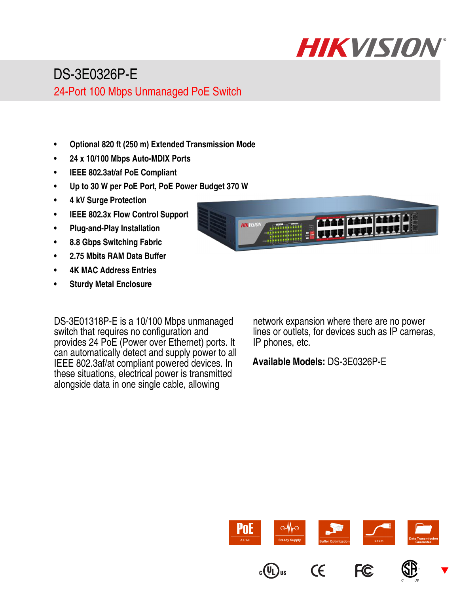

## DS-3E0326P-E

24-Port 100 Mbps Unmanaged PoE Switch

- **Optional 820 ft (250 m) Extended Transmission Mode**
- **24 x 10/100 Mbps Auto-MDIX Ports**
- **IEEE 802.3at/af PoE Compliant**
- **Up to 30 W per PoE Port, PoE Power Budget 370 W**
- **4 kV Surge Protection**
- **IEEE 802.3x Flow Control Support**
- **Plug-and-Play Installation**
- **8.8 Gbps Switching Fabric**
- **2.75 Mbits RAM Data Buffer**
- **4K MAC Address Entries**
- **Sturdy Metal Enclosure**



DS-3E01318P-E is a 10/100 Mbps unmanaged switch that requires no configuration and provides 24 PoE (Power over Ethernet) ports. It can automatically detect and supply power to all IEEE 802.3af/at compliant powered devices. In these situations, electrical power is transmitted alongside data in one single cable, allowing

network expansion where there are no power lines or outlets, for devices such as IP cameras, IP phones, etc.

**Available Models:** DS-3E0326P-E